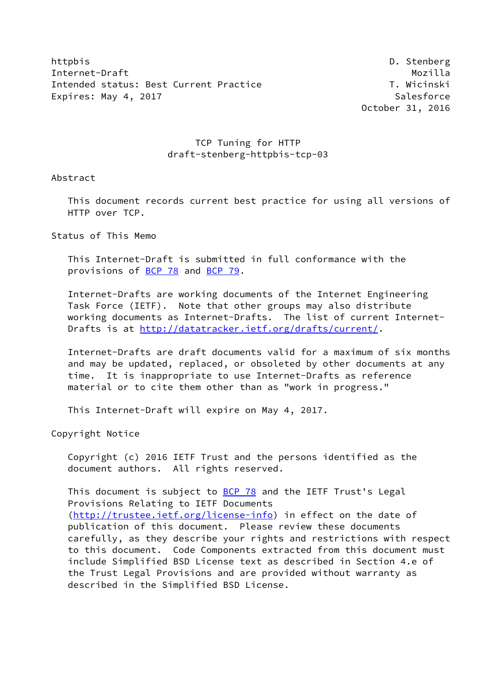httpbis D. Stenberg Internet-Draft Mozilla Intended status: Best Current Practice T. Wicinski Expires: May 4, 2017 **Salesforce** 

October 31, 2016

## TCP Tuning for HTTP draft-stenberg-httpbis-tcp-03

Abstract

 This document records current best practice for using all versions of HTTP over TCP.

Status of This Memo

 This Internet-Draft is submitted in full conformance with the provisions of [BCP 78](https://datatracker.ietf.org/doc/pdf/bcp78) and [BCP 79](https://datatracker.ietf.org/doc/pdf/bcp79).

 Internet-Drafts are working documents of the Internet Engineering Task Force (IETF). Note that other groups may also distribute working documents as Internet-Drafts. The list of current Internet Drafts is at<http://datatracker.ietf.org/drafts/current/>.

 Internet-Drafts are draft documents valid for a maximum of six months and may be updated, replaced, or obsoleted by other documents at any time. It is inappropriate to use Internet-Drafts as reference material or to cite them other than as "work in progress."

This Internet-Draft will expire on May 4, 2017.

Copyright Notice

 Copyright (c) 2016 IETF Trust and the persons identified as the document authors. All rights reserved.

This document is subject to **[BCP 78](https://datatracker.ietf.org/doc/pdf/bcp78)** and the IETF Trust's Legal Provisions Relating to IETF Documents [\(http://trustee.ietf.org/license-info](http://trustee.ietf.org/license-info)) in effect on the date of publication of this document. Please review these documents carefully, as they describe your rights and restrictions with respect to this document. Code Components extracted from this document must include Simplified BSD License text as described in Section 4.e of the Trust Legal Provisions and are provided without warranty as described in the Simplified BSD License.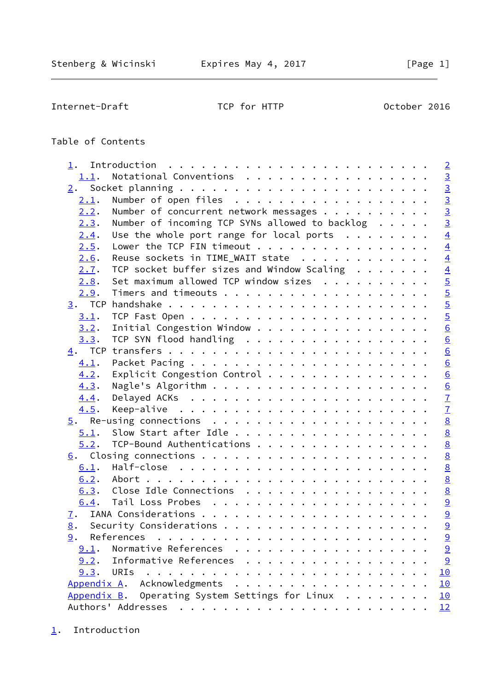<span id="page-1-1"></span>Internet-Draft TCP for HTTP 0ctober 2016

# Table of Contents

<span id="page-1-0"></span>

| 1.             | $\overline{2}$                                                             |
|----------------|----------------------------------------------------------------------------|
| 1.1.           | $\overline{3}$<br>Notational Conventions                                   |
|                | $\overline{3}$                                                             |
| 2.1.           | $\overline{3}$<br>Number of open files                                     |
| 2.2.           | $\overline{3}$<br>Number of concurrent network messages                    |
| 2.3.           | $\overline{3}$<br>Number of incoming TCP SYNs allowed to backlog           |
| 2.4.           | $\overline{4}$<br>Use the whole port range for local ports $\ldots \ldots$ |
| 2.5.           | $\overline{4}$<br>Lower the TCP FIN timeout                                |
| 2.6.           | $\overline{4}$<br>Reuse sockets in TIME_WAIT state                         |
| 2.7.           | TCP socket buffer sizes and Window Scaling $\ldots \ldots$                 |
| 2.8.           | Set maximum allowed TCP window sizes                                       |
| 2.9.           | $\frac{4}{5}$                                                              |
|                | $\overline{5}$                                                             |
| 3.1.           | $\overline{5}$                                                             |
| 3.2.           | $\underline{6}$<br>Initial Congestion Window                               |
| 3.3.           | $\underline{6}$<br>TCP SYN flood handling                                  |
|                | $\underline{6}$                                                            |
| 4.1.           | $\underline{6}$                                                            |
| 4.2.           | Explicit Congestion Control                                                |
| 4.3.           | $\frac{6}{6}$                                                              |
| 4.4.           |                                                                            |
| 4.5.           |                                                                            |
|                | $\frac{7}{7}$                                                              |
| 5.1.           | 8                                                                          |
| 5.2.           | $\underline{8}$<br>TCP-Bound Authentications                               |
|                | 8                                                                          |
| 6.1.           | $\underline{8}$                                                            |
| 6.2.           | $\underline{8}$                                                            |
| 6.3.           | $\underline{8}$<br>Close Idle Connections                                  |
| 6.4.           | 9                                                                          |
| $\mathbf{I}$ . | $\overline{9}$                                                             |
| 8.             | 9                                                                          |
|                | $\overline{a}$                                                             |
|                | 9.1. Normative References<br>$\overline{a}$<br>.                           |
| 9.2.           | 9<br>Informative References                                                |
| 9.3.           | 10<br>URIs                                                                 |
|                | Appendix A. Acknowledgments<br>10                                          |
|                | Appendix B. Operating System Settings for Linux<br>10                      |
|                |                                                                            |
|                |                                                                            |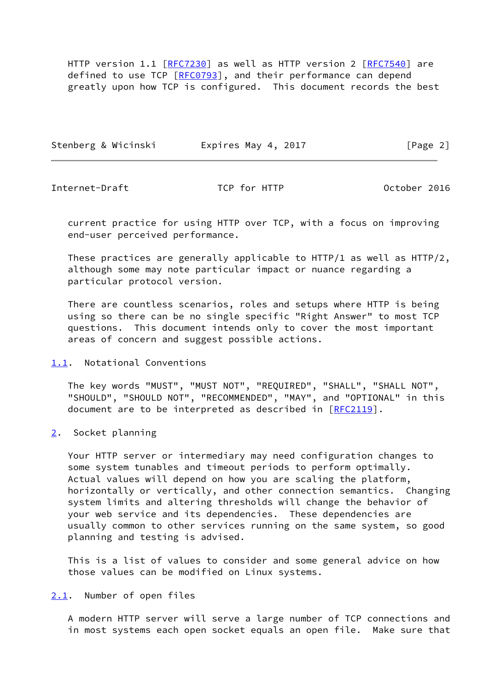HTTP version 1.1 [\[RFC7230](https://datatracker.ietf.org/doc/pdf/rfc7230)] as well as HTTP version 2 [\[RFC7540](https://datatracker.ietf.org/doc/pdf/rfc7540)] are defined to use TCP [[RFC0793\]](https://datatracker.ietf.org/doc/pdf/rfc0793), and their performance can depend greatly upon how TCP is configured. This document records the best

| Stenberg & Wicinski | Expires May 4, 2017 | [Page 2] |
|---------------------|---------------------|----------|
|                     |                     |          |

<span id="page-2-1"></span>Internet-Draft TCP for HTTP October 2016

 current practice for using HTTP over TCP, with a focus on improving end-user perceived performance.

 These practices are generally applicable to HTTP/1 as well as HTTP/2, although some may note particular impact or nuance regarding a particular protocol version.

 There are countless scenarios, roles and setups where HTTP is being using so there can be no single specific "Right Answer" to most TCP questions. This document intends only to cover the most important areas of concern and suggest possible actions.

<span id="page-2-0"></span>[1.1](#page-2-0). Notational Conventions

 The key words "MUST", "MUST NOT", "REQUIRED", "SHALL", "SHALL NOT", "SHOULD", "SHOULD NOT", "RECOMMENDED", "MAY", and "OPTIONAL" in this document are to be interpreted as described in [\[RFC2119](https://datatracker.ietf.org/doc/pdf/rfc2119)].

<span id="page-2-2"></span>[2](#page-2-2). Socket planning

 Your HTTP server or intermediary may need configuration changes to some system tunables and timeout periods to perform optimally. Actual values will depend on how you are scaling the platform, horizontally or vertically, and other connection semantics. Changing system limits and altering thresholds will change the behavior of your web service and its dependencies. These dependencies are usually common to other services running on the same system, so good planning and testing is advised.

 This is a list of values to consider and some general advice on how those values can be modified on Linux systems.

<span id="page-2-3"></span>[2.1](#page-2-3). Number of open files

 A modern HTTP server will serve a large number of TCP connections and in most systems each open socket equals an open file. Make sure that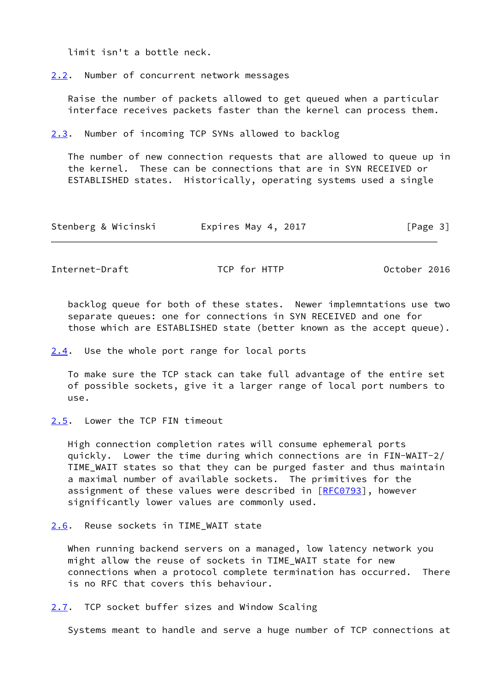limit isn't a bottle neck.

<span id="page-3-0"></span>[2.2](#page-3-0). Number of concurrent network messages

 Raise the number of packets allowed to get queued when a particular interface receives packets faster than the kernel can process them.

<span id="page-3-1"></span>[2.3](#page-3-1). Number of incoming TCP SYNs allowed to backlog

 The number of new connection requests that are allowed to queue up in the kernel. These can be connections that are in SYN RECEIVED or ESTABLISHED states. Historically, operating systems used a single

| Stenberg & Wicinski | Expires May 4, 2017 | [Page 3] |
|---------------------|---------------------|----------|
|---------------------|---------------------|----------|

<span id="page-3-3"></span>Internet-Draft TCP for HTTP 0ctober 2016

 backlog queue for both of these states. Newer implemntations use two separate queues: one for connections in SYN RECEIVED and one for those which are ESTABLISHED state (better known as the accept queue).

<span id="page-3-2"></span>[2.4](#page-3-2). Use the whole port range for local ports

 To make sure the TCP stack can take full advantage of the entire set of possible sockets, give it a larger range of local port numbers to use.

<span id="page-3-4"></span>[2.5](#page-3-4). Lower the TCP FIN timeout

 High connection completion rates will consume ephemeral ports quickly. Lower the time during which connections are in FIN-WAIT-2/ TIME\_WAIT states so that they can be purged faster and thus maintain a maximal number of available sockets. The primitives for the assignment of these values were described in [\[RFC0793](https://datatracker.ietf.org/doc/pdf/rfc0793)], however significantly lower values are commonly used.

<span id="page-3-5"></span>[2.6](#page-3-5). Reuse sockets in TIME\_WAIT state

 When running backend servers on a managed, low latency network you might allow the reuse of sockets in TIME\_WAIT state for new connections when a protocol complete termination has occurred. There is no RFC that covers this behaviour.

<span id="page-3-6"></span>[2.7](#page-3-6). TCP socket buffer sizes and Window Scaling

Systems meant to handle and serve a huge number of TCP connections at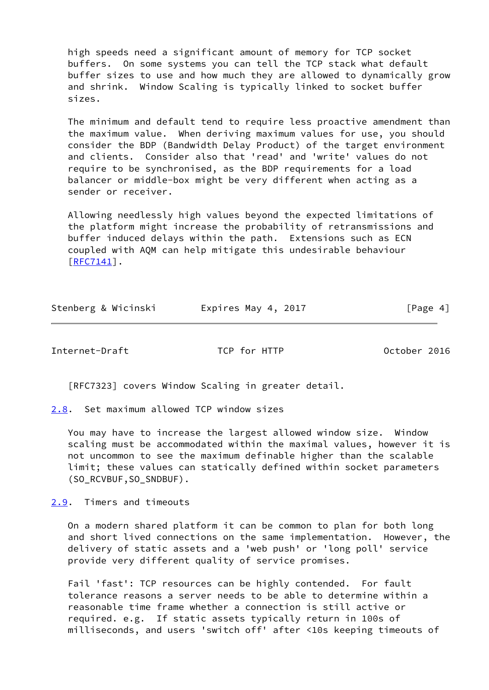high speeds need a significant amount of memory for TCP socket buffers. On some systems you can tell the TCP stack what default buffer sizes to use and how much they are allowed to dynamically grow and shrink. Window Scaling is typically linked to socket buffer sizes.

 The minimum and default tend to require less proactive amendment than the maximum value. When deriving maximum values for use, you should consider the BDP (Bandwidth Delay Product) of the target environment and clients. Consider also that 'read' and 'write' values do not require to be synchronised, as the BDP requirements for a load balancer or middle-box might be very different when acting as a sender or receiver.

 Allowing needlessly high values beyond the expected limitations of the platform might increase the probability of retransmissions and buffer induced delays within the path. Extensions such as ECN coupled with AQM can help mitigate this undesirable behaviour [\[RFC7141](https://datatracker.ietf.org/doc/pdf/rfc7141)].

| Stenberg & Wicinski | Expires May 4, 2017 | [Page 4] |
|---------------------|---------------------|----------|
|                     |                     |          |

<span id="page-4-1"></span>Internet-Draft TCP for HTTP October 2016

[RFC7323] covers Window Scaling in greater detail.

<span id="page-4-0"></span>[2.8](#page-4-0). Set maximum allowed TCP window sizes

 You may have to increase the largest allowed window size. Window scaling must be accommodated within the maximal values, however it is not uncommon to see the maximum definable higher than the scalable limit; these values can statically defined within socket parameters (SO\_RCVBUF,SO\_SNDBUF).

<span id="page-4-2"></span>[2.9](#page-4-2). Timers and timeouts

 On a modern shared platform it can be common to plan for both long and short lived connections on the same implementation. However, the delivery of static assets and a 'web push' or 'long poll' service provide very different quality of service promises.

 Fail 'fast': TCP resources can be highly contended. For fault tolerance reasons a server needs to be able to determine within a reasonable time frame whether a connection is still active or required. e.g. If static assets typically return in 100s of milliseconds, and users 'switch off' after <10s keeping timeouts of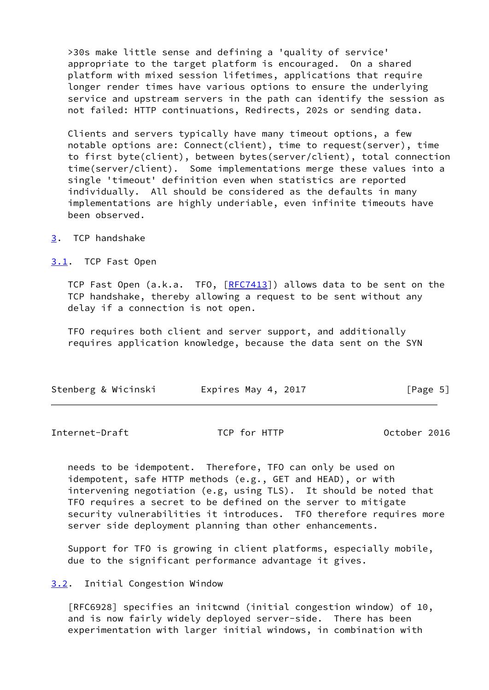>30s make little sense and defining a 'quality of service' appropriate to the target platform is encouraged. On a shared platform with mixed session lifetimes, applications that require longer render times have various options to ensure the underlying service and upstream servers in the path can identify the session as not failed: HTTP continuations, Redirects, 202s or sending data.

 Clients and servers typically have many timeout options, a few notable options are: Connect(client), time to request(server), time to first byte(client), between bytes(server/client), total connection time(server/client). Some implementations merge these values into a single 'timeout' definition even when statistics are reported individually. All should be considered as the defaults in many implementations are highly underiable, even infinite timeouts have been observed.

<span id="page-5-0"></span>[3](#page-5-0). TCP handshake

<span id="page-5-1"></span>[3.1](#page-5-1). TCP Fast Open

TCP Fast Open (a.k.a. TFO, [\[RFC7413](https://datatracker.ietf.org/doc/pdf/rfc7413)]) allows data to be sent on the TCP handshake, thereby allowing a request to be sent without any delay if a connection is not open.

 TFO requires both client and server support, and additionally requires application knowledge, because the data sent on the SYN

| Stenberg & Wicinski<br>Expires May 4, 2017 |  |  | [Page 5] |
|--------------------------------------------|--|--|----------|
|--------------------------------------------|--|--|----------|

<span id="page-5-3"></span>Internet-Draft TCP for HTTP October 2016

 needs to be idempotent. Therefore, TFO can only be used on idempotent, safe HTTP methods (e.g., GET and HEAD), or with intervening negotiation (e.g, using TLS). It should be noted that TFO requires a secret to be defined on the server to mitigate security vulnerabilities it introduces. TFO therefore requires more server side deployment planning than other enhancements.

 Support for TFO is growing in client platforms, especially mobile, due to the significant performance advantage it gives.

<span id="page-5-2"></span>[3.2](#page-5-2). Initial Congestion Window

 [RFC6928] specifies an initcwnd (initial congestion window) of 10, and is now fairly widely deployed server-side. There has been experimentation with larger initial windows, in combination with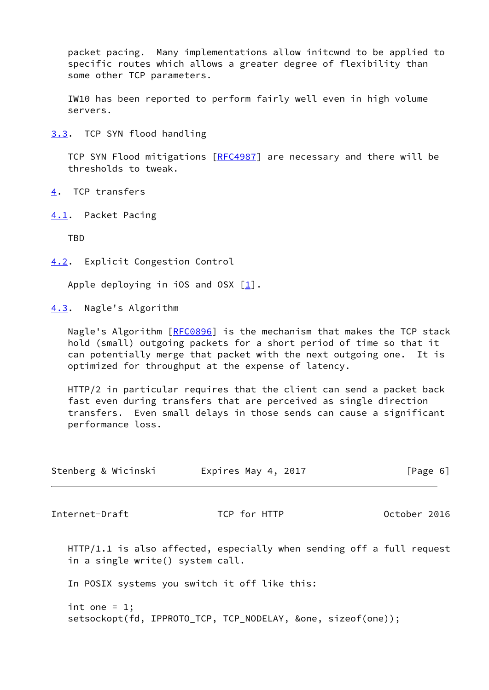packet pacing. Many implementations allow initcwnd to be applied to specific routes which allows a greater degree of flexibility than some other TCP parameters.

 IW10 has been reported to perform fairly well even in high volume servers.

<span id="page-6-0"></span>[3.3](#page-6-0). TCP SYN flood handling

TCP SYN Flood mitigations [[RFC4987](https://datatracker.ietf.org/doc/pdf/rfc4987)] are necessary and there will be thresholds to tweak.

- <span id="page-6-1"></span>[4](#page-6-1). TCP transfers
- <span id="page-6-2"></span>[4.1](#page-6-2). Packet Pacing

TBD

<span id="page-6-3"></span>[4.2](#page-6-3). Explicit Congestion Control

Apple deploying in iOS and OSX  $\lceil \frac{1}{2} \rceil$ .

<span id="page-6-4"></span>[4.3](#page-6-4). Nagle's Algorithm

Nagle's Algorithm [[RFC0896](https://datatracker.ietf.org/doc/pdf/rfc0896)] is the mechanism that makes the TCP stack hold (small) outgoing packets for a short period of time so that it can potentially merge that packet with the next outgoing one. It is optimized for throughput at the expense of latency.

 HTTP/2 in particular requires that the client can send a packet back fast even during transfers that are perceived as single direction transfers. Even small delays in those sends can cause a significant performance loss.

<span id="page-6-5"></span>

| Stenberg & Wicinski              | Expires May 4, 2017                                                     | [Page 6]     |
|----------------------------------|-------------------------------------------------------------------------|--------------|
| Internet-Draft                   | TCP for HTTP                                                            | October 2016 |
| in a single write() system call. | $HTTP/1.1$ is also affected, especially when sending off a full request |              |
|                                  | In POSIX systems you switch it off like this:                           |              |
| int one = $1$ ;                  | setsockopt(fd, IPPROTO_TCP, TCP_NODELAY, &one, sizeof(one));            |              |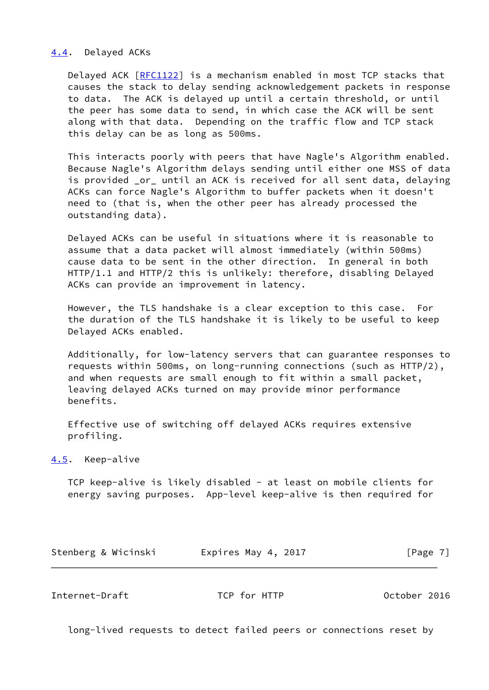### <span id="page-7-0"></span>[4.4](#page-7-0). Delayed ACKs

 Delayed ACK [\[RFC1122](https://datatracker.ietf.org/doc/pdf/rfc1122)] is a mechanism enabled in most TCP stacks that causes the stack to delay sending acknowledgement packets in response to data. The ACK is delayed up until a certain threshold, or until the peer has some data to send, in which case the ACK will be sent along with that data. Depending on the traffic flow and TCP stack this delay can be as long as 500ms.

 This interacts poorly with peers that have Nagle's Algorithm enabled. Because Nagle's Algorithm delays sending until either one MSS of data is provided \_or\_ until an ACK is received for all sent data, delaying ACKs can force Nagle's Algorithm to buffer packets when it doesn't need to (that is, when the other peer has already processed the outstanding data).

 Delayed ACKs can be useful in situations where it is reasonable to assume that a data packet will almost immediately (within 500ms) cause data to be sent in the other direction. In general in both HTTP/1.1 and HTTP/2 this is unlikely: therefore, disabling Delayed ACKs can provide an improvement in latency.

 However, the TLS handshake is a clear exception to this case. For the duration of the TLS handshake it is likely to be useful to keep Delayed ACKs enabled.

 Additionally, for low-latency servers that can guarantee responses to requests within 500ms, on long-running connections (such as HTTP/2), and when requests are small enough to fit within a small packet, leaving delayed ACKs turned on may provide minor performance benefits.

 Effective use of switching off delayed ACKs requires extensive profiling.

<span id="page-7-1"></span>[4.5](#page-7-1). Keep-alive

 TCP keep-alive is likely disabled - at least on mobile clients for energy saving purposes. App-level keep-alive is then required for

Stenberg & Wicinski **Expires May 4, 2017** [Page 7]

<span id="page-7-2"></span>Internet-Draft TCP for HTTP 0ctober 2016

long-lived requests to detect failed peers or connections reset by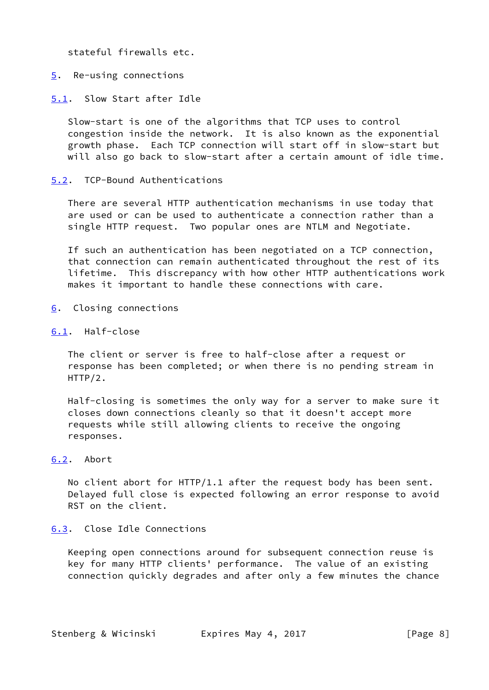stateful firewalls etc.

<span id="page-8-0"></span>[5](#page-8-0). Re-using connections

<span id="page-8-1"></span>[5.1](#page-8-1). Slow Start after Idle

 Slow-start is one of the algorithms that TCP uses to control congestion inside the network. It is also known as the exponential growth phase. Each TCP connection will start off in slow-start but will also go back to slow-start after a certain amount of idle time.

<span id="page-8-2"></span>[5.2](#page-8-2). TCP-Bound Authentications

 There are several HTTP authentication mechanisms in use today that are used or can be used to authenticate a connection rather than a single HTTP request. Two popular ones are NTLM and Negotiate.

 If such an authentication has been negotiated on a TCP connection, that connection can remain authenticated throughout the rest of its lifetime. This discrepancy with how other HTTP authentications work makes it important to handle these connections with care.

- <span id="page-8-3"></span>[6](#page-8-3). Closing connections
- <span id="page-8-4"></span>[6.1](#page-8-4). Half-close

 The client or server is free to half-close after a request or response has been completed; or when there is no pending stream in HTTP/2.

 Half-closing is sometimes the only way for a server to make sure it closes down connections cleanly so that it doesn't accept more requests while still allowing clients to receive the ongoing responses.

## <span id="page-8-5"></span>[6.2](#page-8-5). Abort

 No client abort for HTTP/1.1 after the request body has been sent. Delayed full close is expected following an error response to avoid RST on the client.

## <span id="page-8-6"></span>[6.3](#page-8-6). Close Idle Connections

 Keeping open connections around for subsequent connection reuse is key for many HTTP clients' performance. The value of an existing connection quickly degrades and after only a few minutes the chance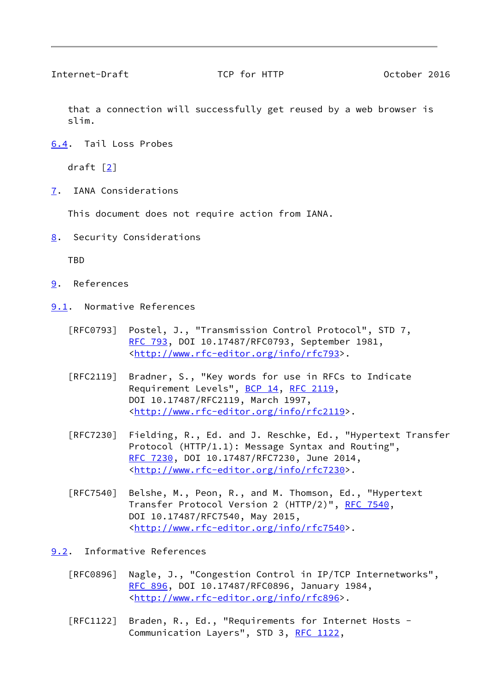<span id="page-9-1"></span>Internet-Draft TCP for HTTP October 2016

 that a connection will successfully get reused by a web browser is slim.

<span id="page-9-0"></span>[6.4](#page-9-0). Tail Loss Probes

draft  $[2]$  $[2]$ 

<span id="page-9-2"></span>[7](#page-9-2). IANA Considerations

This document does not require action from IANA.

<span id="page-9-3"></span>[8](#page-9-3). Security Considerations

TBD

- <span id="page-9-4"></span>[9](#page-9-4). References
- <span id="page-9-5"></span>[9.1](#page-9-5). Normative References
	- [RFC0793] Postel, J., "Transmission Control Protocol", STD 7, [RFC 793](https://datatracker.ietf.org/doc/pdf/rfc793), DOI 10.17487/RFC0793, September 1981, <[http://www.rfc-editor.org/info/rfc793>](http://www.rfc-editor.org/info/rfc793).
	- [RFC2119] Bradner, S., "Key words for use in RFCs to Indicate Requirement Levels", [BCP 14](https://datatracker.ietf.org/doc/pdf/bcp14), [RFC 2119](https://datatracker.ietf.org/doc/pdf/rfc2119), DOI 10.17487/RFC2119, March 1997, <<http://www.rfc-editor.org/info/rfc2119>>.
	- [RFC7230] Fielding, R., Ed. and J. Reschke, Ed., "Hypertext Transfer Protocol (HTTP/1.1): Message Syntax and Routing", [RFC 7230,](https://datatracker.ietf.org/doc/pdf/rfc7230) DOI 10.17487/RFC7230, June 2014, <<http://www.rfc-editor.org/info/rfc7230>>.
	- [RFC7540] Belshe, M., Peon, R., and M. Thomson, Ed., "Hypertext Transfer Protocol Version 2 (HTTP/2)", [RFC 7540](https://datatracker.ietf.org/doc/pdf/rfc7540), DOI 10.17487/RFC7540, May 2015, <<http://www.rfc-editor.org/info/rfc7540>>.
- <span id="page-9-6"></span>[9.2](#page-9-6). Informative References
	- [RFC0896] Nagle, J., "Congestion Control in IP/TCP Internetworks", [RFC 896](https://datatracker.ietf.org/doc/pdf/rfc896), DOI 10.17487/RFC0896, January 1984, <[http://www.rfc-editor.org/info/rfc896>](http://www.rfc-editor.org/info/rfc896).
	- [RFC1122] Braden, R., Ed., "Requirements for Internet Hosts Communication Layers", STD 3, [RFC 1122](https://datatracker.ietf.org/doc/pdf/rfc1122),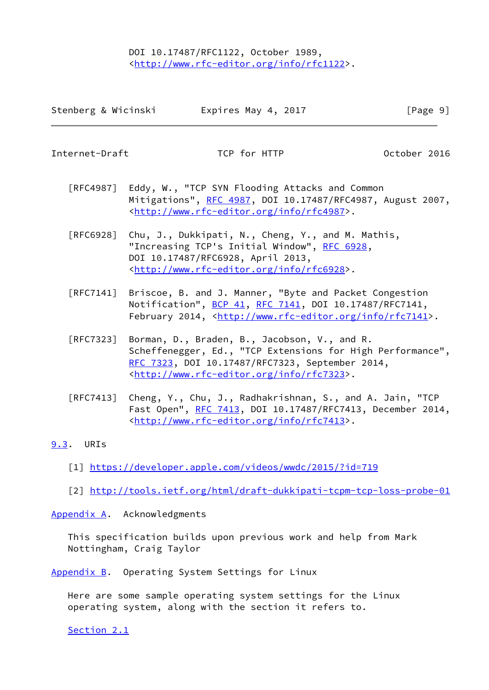# DOI 10.17487/RFC1122, October 1989, <<http://www.rfc-editor.org/info/rfc1122>>.

| Stenberg & Wicinski | Expires May 4, 2017 | [Page 9] |
|---------------------|---------------------|----------|
|---------------------|---------------------|----------|

<span id="page-10-1"></span>Internet-Draft TCP for HTTP October 2016

- [RFC4987] Eddy, W., "TCP SYN Flooding Attacks and Common Mitigations", [RFC 4987](https://datatracker.ietf.org/doc/pdf/rfc4987), DOI 10.17487/RFC4987, August 2007, <<http://www.rfc-editor.org/info/rfc4987>>.
- [RFC6928] Chu, J., Dukkipati, N., Cheng, Y., and M. Mathis, "Increasing TCP's Initial Window", [RFC 6928](https://datatracker.ietf.org/doc/pdf/rfc6928), DOI 10.17487/RFC6928, April 2013, <<http://www.rfc-editor.org/info/rfc6928>>.
- [RFC7141] Briscoe, B. and J. Manner, "Byte and Packet Congestion Notification", [BCP 41](https://datatracker.ietf.org/doc/pdf/bcp41), [RFC 7141](https://datatracker.ietf.org/doc/pdf/rfc7141), DOI 10.17487/RFC7141, February 2014, <<http://www.rfc-editor.org/info/rfc7141>>.
- [RFC7323] Borman, D., Braden, B., Jacobson, V., and R. Scheffenegger, Ed., "TCP Extensions for High Performance", [RFC 7323,](https://datatracker.ietf.org/doc/pdf/rfc7323) DOI 10.17487/RFC7323, September 2014, <<http://www.rfc-editor.org/info/rfc7323>>.
- [RFC7413] Cheng, Y., Chu, J., Radhakrishnan, S., and A. Jain, "TCP Fast Open", [RFC 7413,](https://datatracker.ietf.org/doc/pdf/rfc7413) DOI 10.17487/RFC7413, December 2014, <<http://www.rfc-editor.org/info/rfc7413>>.
- <span id="page-10-4"></span><span id="page-10-0"></span>[9.3](#page-10-0). URIs
	- [1] <https://developer.apple.com/videos/wwdc/2015/?id=719>
	- [2] <http://tools.ietf.org/html/draft-dukkipati-tcpm-tcp-loss-probe-01>

<span id="page-10-5"></span><span id="page-10-2"></span>[Appendix A.](#page-10-2) Acknowledgments

 This specification builds upon previous work and help from Mark Nottingham, Craig Taylor

<span id="page-10-3"></span>[Appendix B.](#page-10-3) Operating System Settings for Linux

 Here are some sample operating system settings for the Linux operating system, along with the section it refers to.

[Section 2.1](#page-2-3)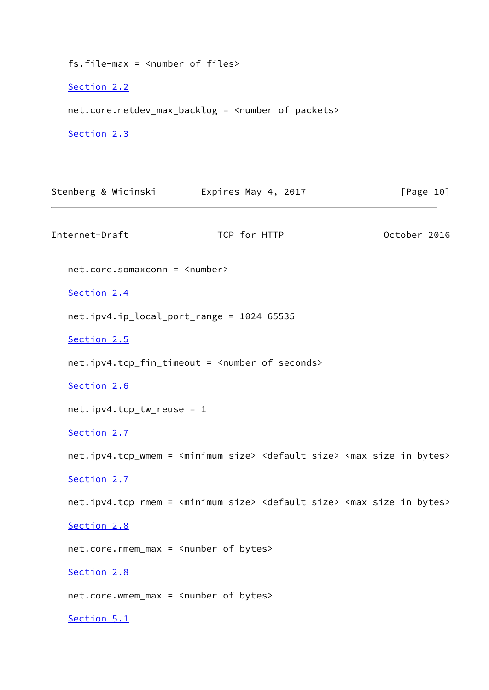fs.file-max = <number of files>

[Section 2.2](#page-3-0)

net.core.netdev\_max\_backlog = <number of packets>

[Section 2.3](#page-3-1)

Stenberg & Wicinski **Expires May 4, 2017** [Page 10] Internet-Draft TCP for HTTP 0ctober 2016 net.core.somaxconn = <number> [Section 2.4](#page-3-2) net.ipv4.ip\_local\_port\_range = 1024 65535 [Section 2.5](#page-3-4) net.ipv4.tcp\_fin\_timeout = <number of seconds> [Section 2.6](#page-3-5) net.ipv4.tcp\_tw\_reuse = 1 [Section 2.7](#page-3-6) net.ipv4.tcp\_wmem = <minimum size> <default size> <max size in bytes> [Section 2.7](#page-3-6) net.ipv4.tcp\_rmem = <minimum size> <default size> <max size in bytes> [Section 2.8](#page-4-0) net.core.rmem\_max = <number of bytes> [Section 2.8](#page-4-0) net.core.wmem\_max = <number of bytes> [Section 5.1](#page-8-1)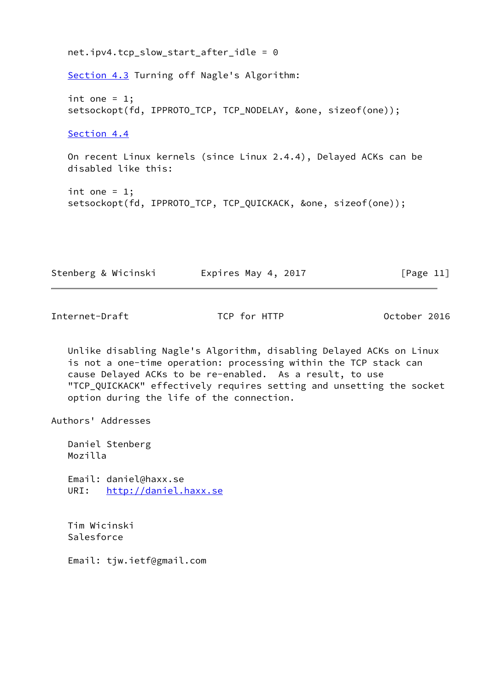```
 net.ipv4.tcp_slow_start_after_idle = 0
 Section 4.3 Turning off Nagle's Algorithm:
int one = 1;
 setsockopt(fd, IPPROTO_TCP, TCP_NODELAY, &one, sizeof(one));
 Section 4.4
 On recent Linux kernels (since Linux 2.4.4), Delayed ACKs can be
 disabled like this:
int one = 1;
 setsockopt(fd, IPPROTO_TCP, TCP_QUICKACK, &one, sizeof(one));
```

| Stenberg & Wicinski | Expires May 4, 2017 | [Page 11] |
|---------------------|---------------------|-----------|
|---------------------|---------------------|-----------|

<span id="page-12-0"></span>Internet-Draft TCP for HTTP October 2016

 Unlike disabling Nagle's Algorithm, disabling Delayed ACKs on Linux is not a one-time operation: processing within the TCP stack can cause Delayed ACKs to be re-enabled. As a result, to use "TCP\_QUICKACK" effectively requires setting and unsetting the socket option during the life of the connection.

Authors' Addresses

 Daniel Stenberg Mozilla

 Email: daniel@haxx.se URI: <http://daniel.haxx.se>

 Tim Wicinski Salesforce

Email: tjw.ietf@gmail.com